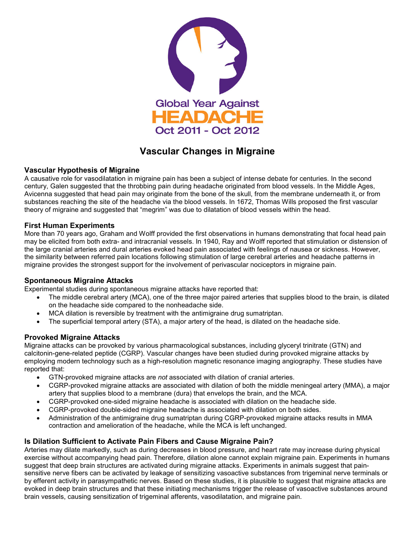

# **Vascular Changes in Migraine**

### **Vascular Hypothesis of Migraine**

A causative role for vasodilatation in migraine pain has been a subject of intense debate for centuries. In the second century, Galen suggested that the throbbing pain during headache originated from blood vessels. In the Middle Ages, Avicenna suggested that head pain may originate from the bone of the skull, from the membrane underneath it, or from substances reaching the site of the headache via the blood vessels. In 1672, Thomas Wills proposed the first vascular theory of migraine and suggested that "megrim" was due to dilatation of blood vessels within the head.

### **First Human Experiments**

More than 70 years ago, Graham and Wolff provided the first observations in humans demonstrating that focal head pain may be elicited from both extra- and intracranial vessels. In 1940, Ray and Wolff reported that stimulation or distension of the large cranial arteries and dural arteries evoked head pain associated with feelings of nausea or sickness. However, the similarity between referred pain locations following stimulation of large cerebral arteries and headache patterns in migraine provides the strongest support for the involvement of perivascular nociceptors in migraine pain.

### **Spontaneous Migraine Attacks**

Experimental studies during spontaneous migraine attacks have reported that:

- The middle cerebral artery (MCA), one of the three major paired arteries that supplies blood to the brain, is dilated on the headache side compared to the nonheadache side.
- MCA dilation is reversible by treatment with the antimigraine drug sumatriptan.
- The superficial temporal artery (STA), a major artery of the head, is dilated on the headache side.

### **Provoked Migraine Attacks**

Migraine attacks can be provoked by various pharmacological substances, including glyceryl trinitrate (GTN) and calcitonin-gene-related peptide (CGRP). Vascular changes have been studied during provoked migraine attacks by employing modern technology such as a high-resolution magnetic resonance imaging angiography. These studies have reported that:

- GTN-provoked migraine attacks are *not* associated with dilation of cranial arteries.
- CGRP-provoked migraine attacks are associated with dilation of both the middle meningeal artery (MMA), a major artery that supplies blood to a membrane (dura) that envelops the brain, and the MCA.
- CGRP-provoked one-sided migraine headache is associated with dilation on the headache side.
- CGRP-provoked double-sided migraine headache is associated with dilation on both sides.
- Administration of the antimigraine drug sumatriptan during CGRP-provoked migraine attacks results in MMA contraction and amelioration of the headache, while the MCA is left unchanged.

## **Is Dilation Sufficient to Activate Pain Fibers and Cause Migraine Pain?**

Arteries may dilate markedly, such as during decreases in blood pressure, and heart rate may increase during physical exercise without accompanying head pain. Therefore, dilation alone cannot explain migraine pain. Experiments in humans suggest that deep brain structures are activated during migraine attacks. Experiments in animals suggest that painsensitive nerve fibers can be activated by leakage of sensitizing vasoactive substances from trigeminal nerve terminals or by efferent activity in parasympathetic nerves. Based on these studies, it is plausible to suggest that migraine attacks are evoked in deep brain structures and that these initiating mechanisms trigger the release of vasoactive substances around brain vessels, causing sensitization of trigeminal afferents, vasodilatation, and migraine pain.